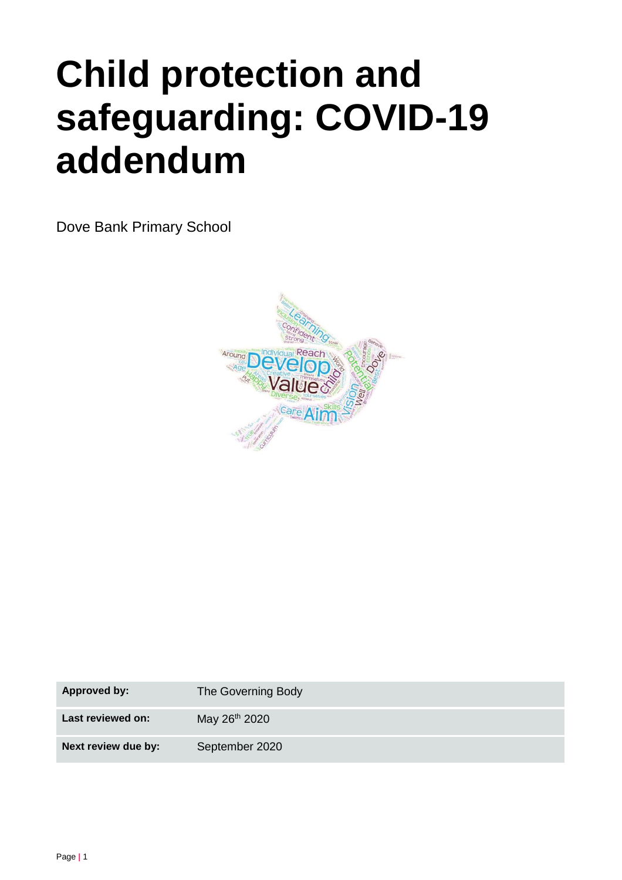# **Child protection and safeguarding: COVID-19 addendum**

Dove Bank Primary School



| <b>Approved by:</b> | The Governing Body        |
|---------------------|---------------------------|
| Last reviewed on:   | May 26 <sup>th</sup> 2020 |
| Next review due by: | September 2020            |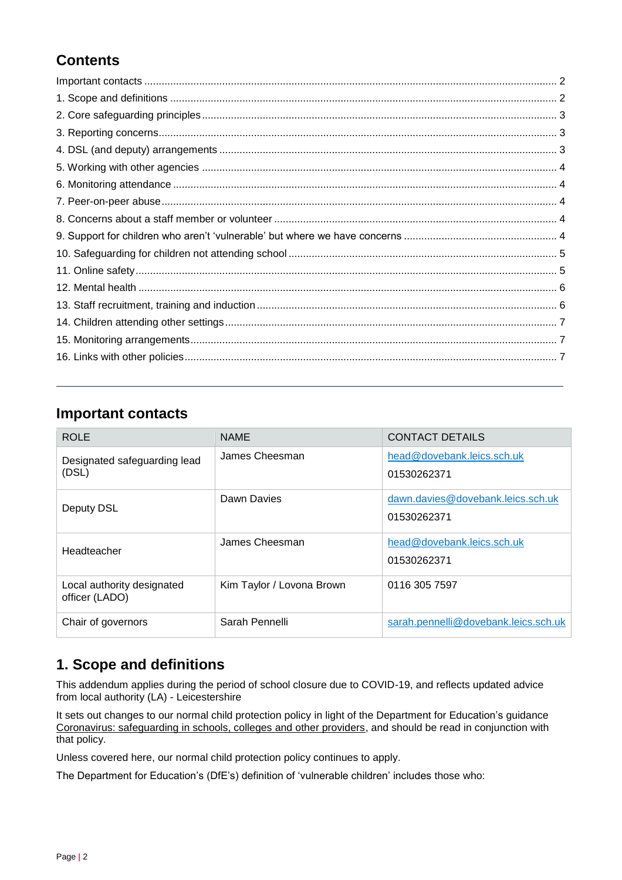# **Contents**

### <span id="page-1-0"></span>**Important contacts**

| <b>ROLE</b>                                  | <b>NAME</b>               | <b>CONTACT DETAILS</b>                           |
|----------------------------------------------|---------------------------|--------------------------------------------------|
| Designated safeguarding lead<br>(DSL)        | James Cheesman            | head@dovebank.leics.sch.uk<br>01530262371        |
| Deputy DSL                                   | Dawn Davies               | dawn.davies@dovebank.leics.sch.uk<br>01530262371 |
| Headteacher                                  | James Cheesman            | head@dovebank.leics.sch.uk<br>01530262371        |
| Local authority designated<br>officer (LADO) | Kim Taylor / Lovona Brown | 0116 305 7597                                    |
| Chair of governors                           | Sarah Pennelli            | sarah.pennelli@dovebank.leics.sch.uk             |

# <span id="page-1-1"></span>**1. Scope and definitions**

This addendum applies during the period of school closure due to COVID-19, and reflects updated advice from local authority (LA) - Leicestershire

It sets out changes to our normal child protection policy in light of the Department for Education's guidance [Coronavirus: safeguarding in schools, colleges and other providers,](https://www.gov.uk/government/publications/covid-19-safeguarding-in-schools-colleges-and-other-providers) and should be read in conjunction with that policy.

Unless covered here, our normal child protection policy continues to apply.

The Department for Education's (DfE's) definition of 'vulnerable children' includes those who: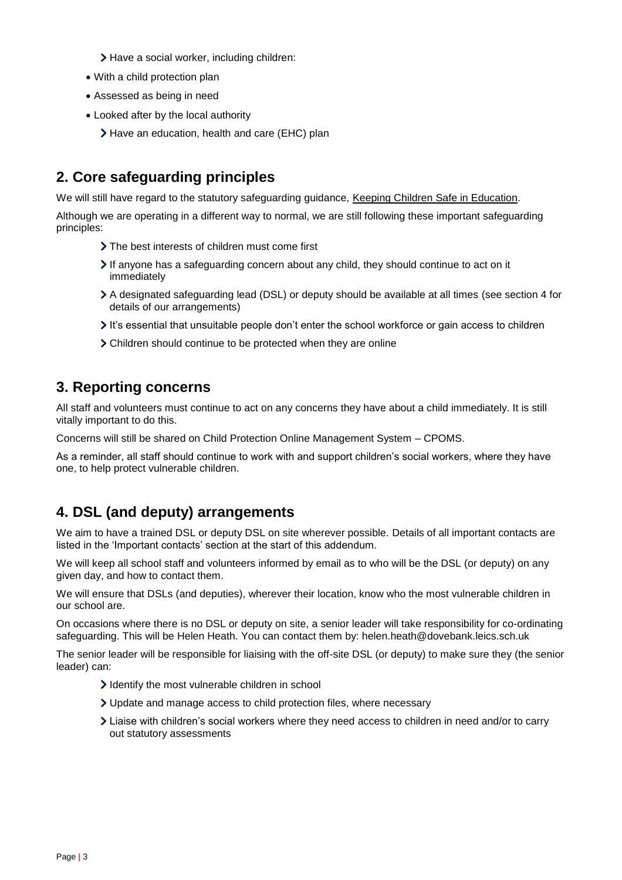- > Have a social worker, including children:
- With a child protection plan
- Assessed as being in need
- Looked after by the local authority
	- > Have an education, health and care (EHC) plan

# <span id="page-2-0"></span>**2. Core safeguarding principles**

We will still have regard to the statutory safeguarding guidance, [Keeping Children Safe in Education.](https://www.gov.uk/government/publications/keeping-children-safe-in-education--2)

Although we are operating in a different way to normal, we are still following these important safeguarding principles:

- > The best interests of children must come first
- If anyone has a safeguarding concern about any child, they should continue to act on it immediately
- A designated safeguarding lead (DSL) or deputy should be available at all times (see section 4 for details of our arrangements)
- It's essential that unsuitable people don't enter the school workforce or gain access to children
- Children should continue to be protected when they are online

## <span id="page-2-1"></span>**3. Reporting concerns**

All staff and volunteers must continue to act on any concerns they have about a child immediately. It is still vitally important to do this.

Concerns will still be shared on Child Protection Online Management System – CPOMS.

As a reminder, all staff should continue to work with and support children's social workers, where they have one, to help protect vulnerable children.

# <span id="page-2-2"></span>**4. DSL (and deputy) arrangements**

We aim to have a trained DSL or deputy DSL on site wherever possible. Details of all important contacts are listed in the 'Important contacts' section at the start of this addendum.

We will keep all school staff and volunteers informed by email as to who will be the DSL (or deputy) on any given day, and how to contact them.

We will ensure that DSLs (and deputies), wherever their location, know who the most vulnerable children in our school are.

On occasions where there is no DSL or deputy on site, a senior leader will take responsibility for co-ordinating safeguarding. This will be Helen Heath. You can contact them by: helen.heath@dovebank.leics.sch.uk

The senior leader will be responsible for liaising with the off-site DSL (or deputy) to make sure they (the senior leader) can:

- I dentify the most vulnerable children in school
- Update and manage access to child protection files, where necessary
- <span id="page-2-3"></span>Liaise with children's social workers where they need access to children in need and/or to carry out statutory assessments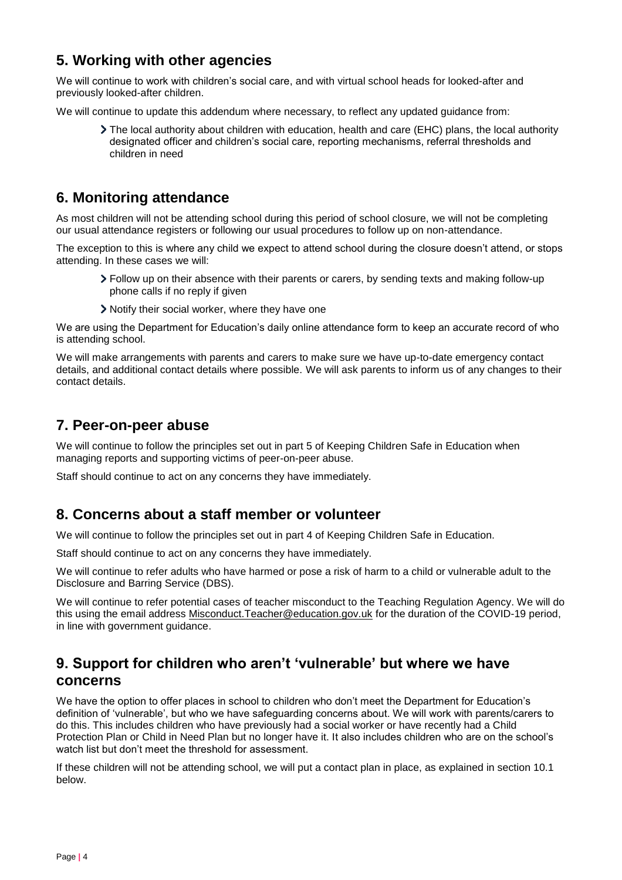# **5. Working with other agencies**

We will continue to work with children's social care, and with virtual school heads for looked-after and previously looked-after children.

We will continue to update this addendum where necessary, to reflect any updated guidance from:

The local authority about children with education, health and care (EHC) plans, the local authority designated officer and children's social care, reporting mechanisms, referral thresholds and children in need

## <span id="page-3-0"></span>**6. Monitoring attendance**

As most children will not be attending school during this period of school closure, we will not be completing our usual attendance registers or following our usual procedures to follow up on non-attendance.

The exception to this is where any child we expect to attend school during the closure doesn't attend, or stops attending. In these cases we will:

- Follow up on their absence with their parents or carers, by sending texts and making follow-up phone calls if no reply if given
- Notify their social worker, where they have one

We are using the Department for Education's daily online attendance form to keep an accurate record of who is attending school.

We will make arrangements with parents and carers to make sure we have up-to-date emergency contact details, and additional contact details where possible. We will ask parents to inform us of any changes to their contact details.

## <span id="page-3-1"></span>**7. Peer-on-peer abuse**

We will continue to follow the principles set out in part 5 of Keeping Children Safe in Education when managing reports and supporting victims of peer-on-peer abuse.

Staff should continue to act on any concerns they have immediately.

### <span id="page-3-2"></span>**8. Concerns about a staff member or volunteer**

We will continue to follow the principles set out in part 4 of Keeping Children Safe in Education.

Staff should continue to act on any concerns they have immediately.

We will continue to refer adults who have harmed or pose a risk of harm to a child or vulnerable adult to the Disclosure and Barring Service (DBS).

We will continue to refer potential cases of teacher misconduct to the Teaching Regulation Agency. We will do this using the email address [Misconduct.Teacher@education.gov.uk](mailto:Misconduct.Teacher@education.gov.uk) for the duration of the COVID-19 period, in line with government guidance.

## <span id="page-3-3"></span>**9. Support for children who aren't 'vulnerable' but where we have concerns**

We have the option to offer places in school to children who don't meet the Department for Education's definition of 'vulnerable', but who we have safeguarding concerns about. We will work with parents/carers to do this. This includes children who have previously had a social worker or have recently had a Child Protection Plan or Child in Need Plan but no longer have it. It also includes children who are on the school's watch list but don't meet the threshold for assessment.

If these children will not be attending school, we will put a contact plan in place, as explained in section 10.1 below.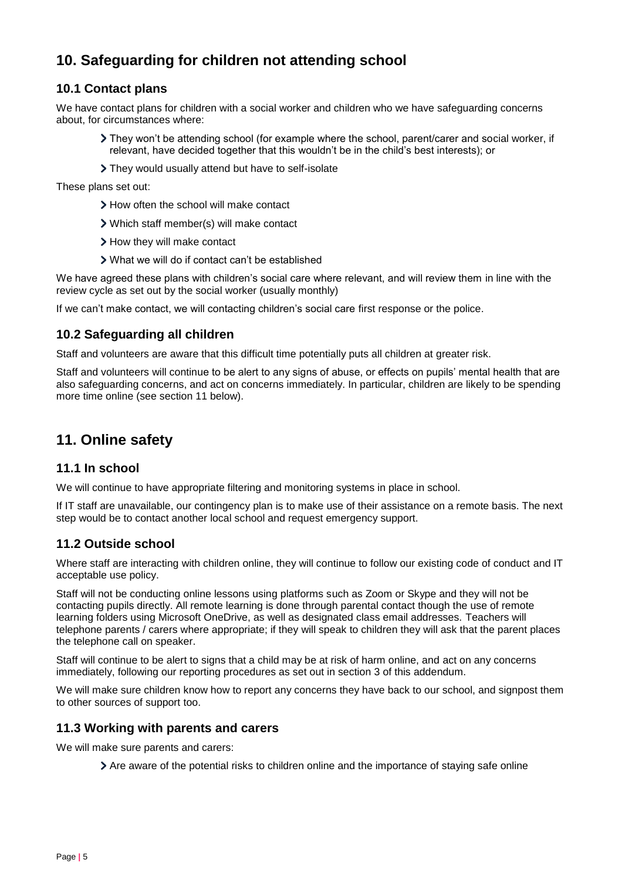# <span id="page-4-0"></span>**10. Safeguarding for children not attending school**

#### **10.1 Contact plans**

We have contact plans for children with a social worker and children who we have safeguarding concerns about, for circumstances where:

- They won't be attending school (for example where the school, parent/carer and social worker, if relevant, have decided together that this wouldn't be in the child's best interests); or
- > They would usually attend but have to self-isolate

These plans set out:

- > How often the school will make contact
- Which staff member(s) will make contact
- > How they will make contact
- What we will do if contact can't be established

We have agreed these plans with children's social care where relevant, and will review them in line with the review cycle as set out by the social worker (usually monthly)

If we can't make contact, we will contacting children's social care first response or the police.

#### **10.2 Safeguarding all children**

Staff and volunteers are aware that this difficult time potentially puts all children at greater risk.

Staff and volunteers will continue to be alert to any signs of abuse, or effects on pupils' mental health that are also safeguarding concerns, and act on concerns immediately. In particular, children are likely to be spending more time online (see section 11 below).

## <span id="page-4-1"></span>**11. Online safety**

#### **11.1 In school**

We will continue to have appropriate filtering and monitoring systems in place in school.

If IT staff are unavailable, our contingency plan is to make use of their assistance on a remote basis. The next step would be to contact another local school and request emergency support.

#### **11.2 Outside school**

Where staff are interacting with children online, they will continue to follow our existing code of conduct and IT acceptable use policy.

Staff will not be conducting online lessons using platforms such as Zoom or Skype and they will not be contacting pupils directly. All remote learning is done through parental contact though the use of remote learning folders using Microsoft OneDrive, as well as designated class email addresses. Teachers will telephone parents / carers where appropriate; if they will speak to children they will ask that the parent places the telephone call on speaker.

Staff will continue to be alert to signs that a child may be at risk of harm online, and act on any concerns immediately, following our reporting procedures as set out in section 3 of this addendum.

We will make sure children know how to report any concerns they have back to our school, and signpost them to other sources of support too.

#### **11.3 Working with parents and carers**

We will make sure parents and carers:

Are aware of the potential risks to children online and the importance of staying safe online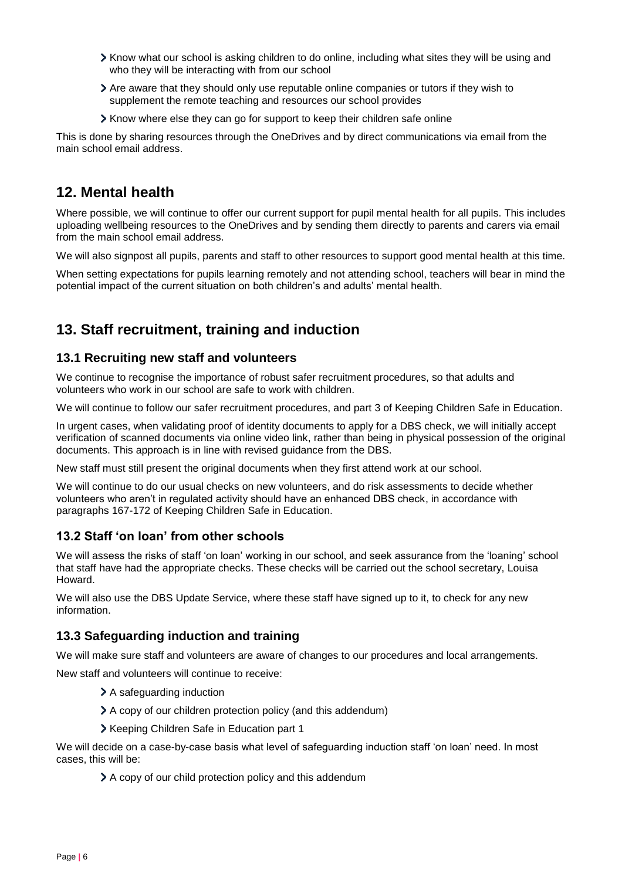- Know what our school is asking children to do online, including what sites they will be using and who they will be interacting with from our school
- Are aware that they should only use reputable online companies or tutors if they wish to supplement the remote teaching and resources our school provides
- Know where else they can go for support to keep their children safe online

This is done by sharing resources through the OneDrives and by direct communications via email from the main school email address.

#### <span id="page-5-0"></span>**12. Mental health**

Where possible, we will continue to offer our current support for pupil mental health for all pupils. This includes uploading wellbeing resources to the OneDrives and by sending them directly to parents and carers via email from the main school email address.

We will also signpost all pupils, parents and staff to other resources to support good mental health at this time.

When setting expectations for pupils learning remotely and not attending school, teachers will bear in mind the potential impact of the current situation on both children's and adults' mental health.

## <span id="page-5-1"></span>**13. Staff recruitment, training and induction**

#### **13.1 Recruiting new staff and volunteers**

We continue to recognise the importance of robust safer recruitment procedures, so that adults and volunteers who work in our school are safe to work with children.

We will continue to follow our safer recruitment procedures, and part 3 of Keeping Children Safe in Education.

In urgent cases, when validating proof of identity documents to apply for a DBS check, we will initially accept verification of scanned documents via online video link, rather than being in physical possession of the original documents. This approach is in line with revised guidance from the DBS.

New staff must still present the original documents when they first attend work at our school.

We will continue to do our usual checks on new volunteers, and do risk assessments to decide whether volunteers who aren't in regulated activity should have an enhanced DBS check, in accordance with paragraphs 167-172 of Keeping Children Safe in Education.

#### **13.2 Staff 'on loan' from other schools**

We will assess the risks of staff 'on loan' working in our school, and seek assurance from the 'loaning' school that staff have had the appropriate checks. These checks will be carried out the school secretary, Louisa Howard.

We will also use the DBS Update Service, where these staff have signed up to it, to check for any new information.

#### **13.3 Safeguarding induction and training**

We will make sure staff and volunteers are aware of changes to our procedures and local arrangements.

New staff and volunteers will continue to receive:

- > A safeguarding induction
- A copy of our children protection policy (and this addendum)
- > Keeping Children Safe in Education part 1

We will decide on a case-by-case basis what level of safeguarding induction staff 'on loan' need. In most cases, this will be:

A copy of our child protection policy and this addendum